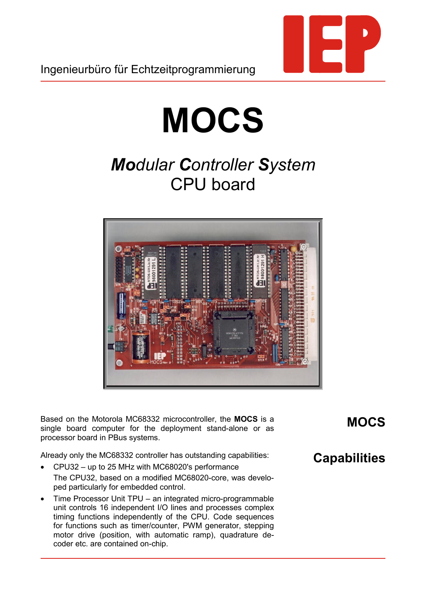

# **MOCS**

# *Modular Controller System* CPU board



Based on the Motorola MC68332 microcontroller, the **MOCS** is a single board computer for the deployment stand-alone or as processor board in PBus systems.

Already only the MC68332 controller has outstanding capabilities:

- CPU32 up to 25 MHz with MC68020's performance The CPU32, based on a modified MC68020-core, was developed particularly for embedded control.
- Time Processor Unit TPU an integrated micro-programmable unit controls 16 independent I/O lines and processes complex timing functions independently of the CPU. Code sequences for functions such as timer/counter, PWM generator, stepping motor drive (position, with automatic ramp), quadrature decoder etc. are contained on-chip.

## **MOCS**

## **Capabilities**